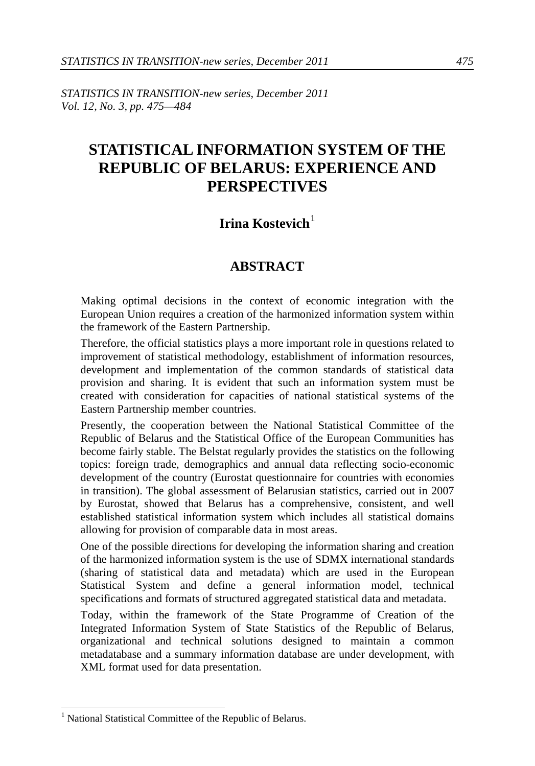*STATISTICS IN TRANSITION-new series, December 2011 Vol. 12, No. 3, pp. 475—484*

# **STATISTICAL INFORMATION SYSTEM OF THE REPUBLIC OF BELARUS: EXPERIENCE AND PERSPECTIVES**

## **Irina Kostevich**<sup>[1](#page-0-0)</sup>

## **ABSTRACT**

Making optimal decisions in the context of economic integration with the European Union requires a creation of the harmonized information system within the framework of the Eastern Partnership.

Therefore, the official statistics plays a more important role in questions related to improvement of statistical methodology, establishment of information resources, development and implementation of the common standards of statistical data provision and sharing. It is evident that such an information system must be created with consideration for capacities of national statistical systems of the Eastern Partnership member countries.

Presently, the cooperation between the National Statistical Committee of the Republic of Belarus and the Statistical Office of the European Communities has become fairly stable. The Belstat regularly provides the statistics on the following topics: foreign trade, demographics and annual data reflecting socio-economic development of the country (Eurostat questionnaire for countries with economies in transition). The global assessment of Belarusian statistics, carried out in 2007 by Eurostat, showed that Belarus has a comprehensive, consistent, and well established statistical information system which includes all statistical domains allowing for provision of comparable data in most areas.

One of the possible directions for developing the information sharing and creation of the harmonized information system is the use of SDMX international standards (sharing of statistical data and metadata) which are used in the European Statistical System and define a general information model, technical specifications and formats of structured aggregated statistical data and metadata.

Today, within the framework of the State Programme of Creation of the Integrated Information System of State Statistics of the Republic of Belarus, organizational and technical solutions designed to maintain a common metadatabase and a summary information database are under development, with XML format used for data presentation.

<span id="page-0-0"></span><sup>&</sup>lt;sup>1</sup> National Statistical Committee of the Republic of Belarus.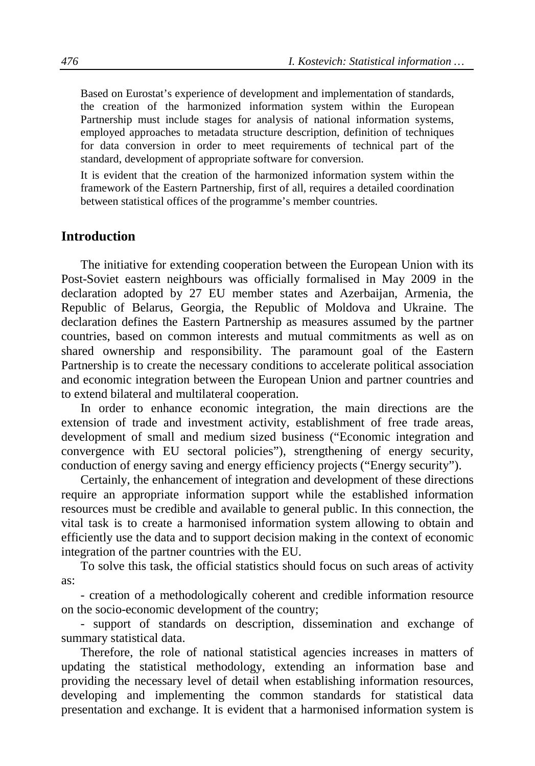Based on Eurostat's experience of development and implementation of standards, the creation of the harmonized information system within the European Partnership must include stages for analysis of national information systems, employed approaches to metadata structure description, definition of techniques for data conversion in order to meet requirements of technical part of the standard, development of appropriate software for conversion.

It is evident that the creation of the harmonized information system within the framework of the Eastern Partnership, first of all, requires a detailed coordination between statistical offices of the programme's member countries.

## **Introduction**

The initiative for extending cooperation between the European Union with its Post-Soviet eastern neighbours was officially formalised in May 2009 in the declaration adopted by 27 EU member states and Azerbaijan, Armenia, the Republic of Belarus, Georgia, the Republic of Moldova and Ukraine. The declaration defines the Eastern Partnership as measures assumed by the partner countries, based on common interests and mutual commitments as well as on shared ownership and responsibility. The paramount goal of the Eastern Partnership is to create the necessary conditions to accelerate political association and economic integration between the European Union and partner countries and to extend bilateral and multilateral cooperation.

In order to enhance economic integration, the main directions are the extension of trade and investment activity, establishment of free trade areas, development of small and medium sized business ("Economic integration and convergence with EU sectoral policies"), strengthening of energy security, conduction of energy saving and energy efficiency projects ("Energy security").

Certainly, the enhancement of integration and development of these directions require an appropriate information support while the established information resources must be credible and available to general public. In this connection, the vital task is to create a harmonised information system allowing to obtain and efficiently use the data and to support decision making in the context of economic integration of the partner countries with the EU.

To solve this task, the official statistics should focus on such areas of activity as:

- creation of a methodologically coherent and credible information resource on the socio-economic development of the country;

- support of standards on description, dissemination and exchange of summary statistical data.

Therefore, the role of national statistical agencies increases in matters of updating the statistical methodology, extending an information base and providing the necessary level of detail when establishing information resources, developing and implementing the common standards for statistical data presentation and exchange. It is evident that a harmonised information system is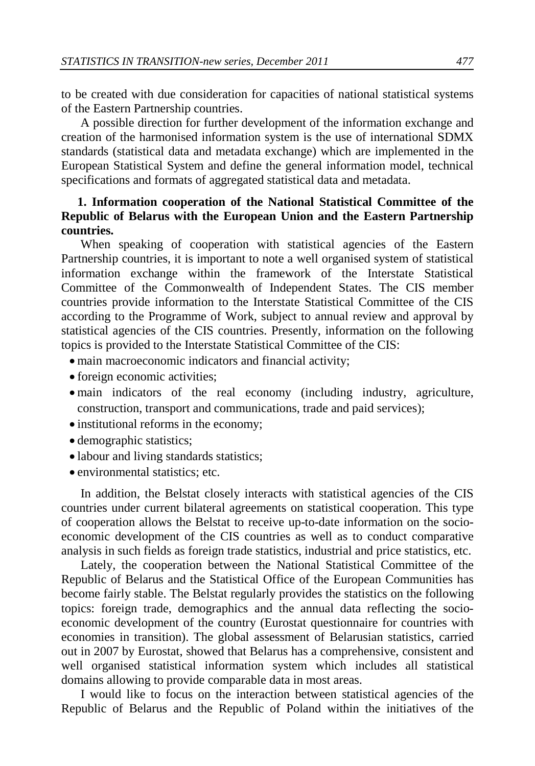to be created with due consideration for capacities of national statistical systems of the Eastern Partnership countries.

A possible direction for further development of the information exchange and creation of the harmonised information system is the use of international SDMX standards (statistical data and metadata exchange) which are implemented in the European Statistical System and define the general information model, technical specifications and formats of aggregated statistical data and metadata.

## **1. Information cooperation of the National Statistical Committee of the Republic of Belarus with the European Union and the Eastern Partnership countries.**

When speaking of cooperation with statistical agencies of the Eastern Partnership countries, it is important to note a well organised system of statistical information exchange within the framework of the Interstate Statistical Committee of the Commonwealth of Independent States. The CIS member countries provide information to the Interstate Statistical Committee of the CIS according to the Programme of Work, subject to annual review and approval by statistical agencies of the CIS countries. Presently, information on the following topics is provided to the Interstate Statistical Committee of the CIS:

- main macroeconomic indicators and financial activity;
- foreign economic activities;
- main indicators of the real economy (including industry, agriculture, construction, transport and communications, trade and paid services);
- institutional reforms in the economy;
- demographic statistics;
- labour and living standards statistics;
- environmental statistics: etc.

In addition, the Belstat closely interacts with statistical agencies of the CIS countries under current bilateral agreements on statistical cooperation. This type of cooperation allows the Belstat to receive up-to-date information on the socioeconomic development of the CIS countries as well as to conduct comparative analysis in such fields as foreign trade statistics, industrial and price statistics, etc.

Lately, the cooperation between the National Statistical Committee of the Republic of Belarus and the Statistical Office of the European Communities has become fairly stable. The Belstat regularly provides the statistics on the following topics: foreign trade, demographics and the annual data reflecting the socioeconomic development of the country (Eurostat questionnaire for countries with economies in transition). The global assessment of Belarusian statistics, carried out in 2007 by Eurostat, showed that Belarus has a comprehensive, consistent and well organised statistical information system which includes all statistical domains allowing to provide comparable data in most areas.

I would like to focus on the interaction between statistical agencies of the Republic of Belarus and the Republic of Poland within the initiatives of the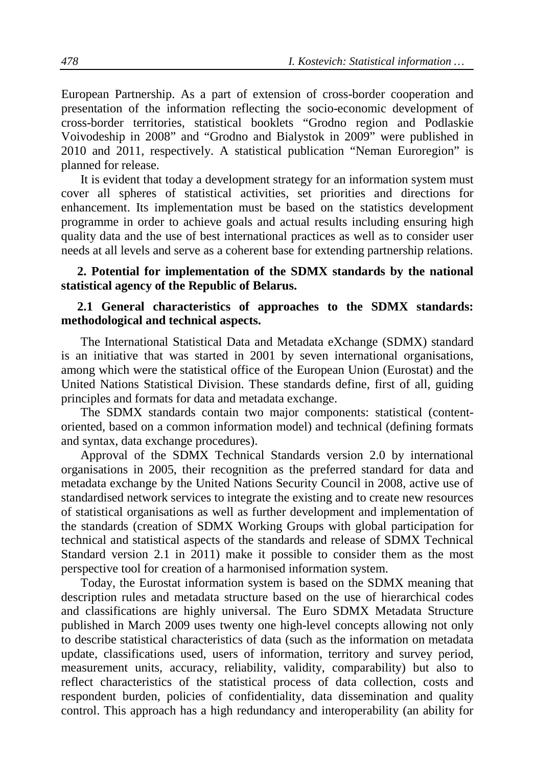European Partnership. As a part of extension of cross-border cooperation and presentation of the information reflecting the socio-economic development of cross-border territories, statistical booklets "Grodno region and Podlaskie Voivodeship in 2008" and "Grodno and Bialystok in 2009" were published in 2010 and 2011, respectively. A statistical publication "Neman Euroregion" is planned for release.

It is evident that today a development strategy for an information system must cover all spheres of statistical activities, set priorities and directions for enhancement. Its implementation must be based on the statistics development programme in order to achieve goals and actual results including ensuring high quality data and the use of best international practices as well as to consider user needs at all levels and serve as a coherent base for extending partnership relations.

#### **2. Potential for implementation of the SDMX standards by the national statistical agency of the Republic of Belarus.**

#### **2.1 General characteristics of approaches to the SDMX standards: methodological and technical aspects.**

The International Statistical Data and Metadata eXchange (SDMX) standard is an initiative that was started in 2001 by seven international organisations, among which were the statistical office of the European Union (Eurostat) and the United Nations Statistical Division. These standards define, first of all, guiding principles and formats for data and metadata exchange.

The SDMX standards contain two major components: statistical (contentoriented, based on a common information model) and technical (defining formats and syntax, data exchange procedures).

Approval of the SDMX Technical Standards version 2.0 by international organisations in 2005, their recognition as the preferred standard for data and metadata exchange by the United Nations Security Council in 2008, active use of standardised network services to integrate the existing and to create new resources of statistical organisations as well as further development and implementation of the standards (creation of SDMX Working Groups with global participation for technical and statistical aspects of the standards and release of SDMX Technical Standard version 2.1 in 2011) make it possible to consider them as the most perspective tool for creation of a harmonised information system.

Today, the Eurostat information system is based on the SDMX meaning that description rules and metadata structure based on the use of hierarchical codes and classifications are highly universal. The Euro SDMX Metadata Structure published in March 2009 uses twenty one high-level concepts allowing not only to describe statistical characteristics of data (such as the information on metadata update, classifications used, users of information, territory and survey period, measurement units, accuracy, reliability, validity, comparability) but also to reflect characteristics of the statistical process of data collection, costs and respondent burden, policies of confidentiality, data dissemination and quality control. This approach has a high redundancy and interoperability (an ability for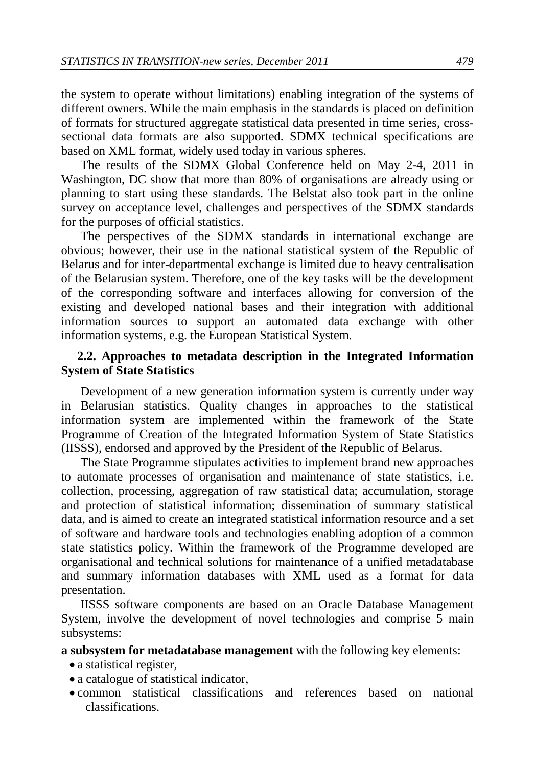the system to operate without limitations) enabling integration of the systems of different owners. While the main emphasis in the standards is placed on definition of formats for structured aggregate statistical data presented in time series, crosssectional data formats are also supported. SDMX technical specifications are based on XML format, widely used today in various spheres.

The results of the SDMX Global Conference held on May 2-4, 2011 in Washington, DC show that more than 80% of organisations are already using or planning to start using these standards. The Belstat also took part in the online survey on acceptance level, challenges and perspectives of the SDMX standards for the purposes of official statistics.

The perspectives of the SDMX standards in international exchange are obvious; however, their use in the national statistical system of the Republic of Belarus and for inter-departmental exchange is limited due to heavy centralisation of the Belarusian system. Therefore, one of the key tasks will be the development of the corresponding software and interfaces allowing for conversion of the existing and developed national bases and their integration with additional information sources to support an automated data exchange with other information systems, e.g. the European Statistical System.

### **2.2. Approaches to metadata description in the Integrated Information System of State Statistics**

Development of a new generation information system is currently under way in Belarusian statistics. Quality changes in approaches to the statistical information system are implemented within the framework of the State Programme of Creation of the Integrated Information System of State Statistics (IISSS), endorsed and approved by the President of the Republic of Belarus.

The State Programme stipulates activities to implement brand new approaches to automate processes of organisation and maintenance of state statistics, i.e. collection, processing, aggregation of raw statistical data; accumulation, storage and protection of statistical information; dissemination of summary statistical data, and is aimed to create an integrated statistical information resource and a set of software and hardware tools and technologies enabling adoption of a common state statistics policy. Within the framework of the Programme developed are organisational and technical solutions for maintenance of a unified metadatabase and summary information databases with XML used as a format for data presentation.

IISSS software components are based on an Oracle Database Management System, involve the development of novel technologies and comprise 5 main subsystems:

**a subsystem for metadatabase management** with the following key elements:

- a statistical register,
- a catalogue of statistical indicator,
- common statistical classifications and references based on national classifications.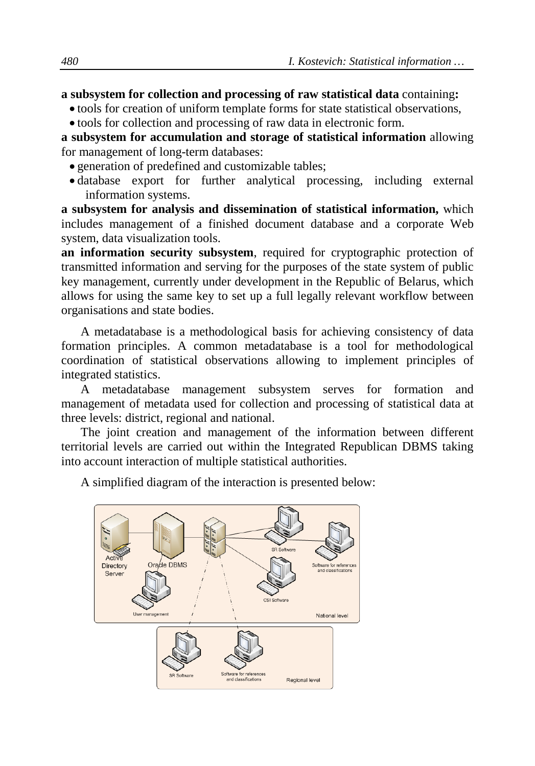#### **a subsystem for collection and processing of raw statistical data** containing**:**

- tools for creation of uniform template forms for state statistical observations,
- tools for collection and processing of raw data in electronic form.

**a subsystem for accumulation and storage of statistical information** allowing for management of long-term databases:

- generation of predefined and customizable tables;
- database export for further analytical processing, including external information systems.

**a subsystem for analysis and dissemination of statistical information,** which includes management of a finished document database and a corporate Web system, data visualization tools.

**an information security subsystem**, required for cryptographic protection of transmitted information and serving for the purposes of the state system of public key management, currently under development in the Republic of Belarus, which allows for using the same key to set up a full legally relevant workflow between organisations and state bodies.

A metadatabase is a methodological basis for achieving consistency of data formation principles. A common metadatabase is a tool for methodological coordination of statistical observations allowing to implement principles of integrated statistics.

A metadatabase management subsystem serves for formation and management of metadata used for collection and processing of statistical data at three levels: district, regional and national.

The joint creation and management of the information between different territorial levels are carried out within the Integrated Republican DBMS taking into account interaction of multiple statistical authorities.



A simplified diagram of the interaction is presented below: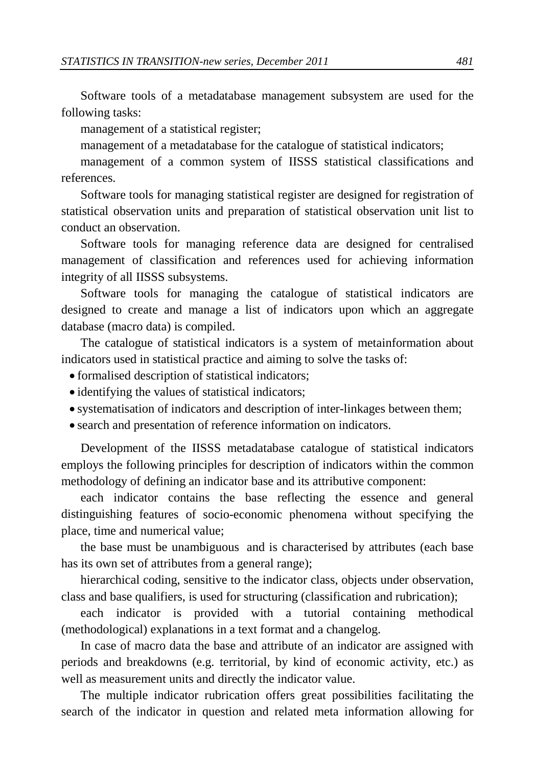Software tools of a metadatabase management subsystem are used for the following tasks:

management of a statistical register;

management of a metadatabase for the catalogue of statistical indicators;

management of a common system of IISSS statistical classifications and references.

Software tools for managing statistical register are designed for registration of statistical observation units and preparation of statistical observation unit list to conduct an observation.

Software tools for managing reference data are designed for centralised management of classification and references used for achieving information integrity of all IISSS subsystems.

Software tools for managing the catalogue of statistical indicators are designed to create and manage a list of indicators upon which an aggregate database (macro data) is compiled.

The catalogue of statistical indicators is a system of metainformation about indicators used in statistical practice and aiming to solve the tasks of:

- formalised description of statistical indicators;
- identifying the values of statistical indicators;
- systematisation of indicators and description of inter-linkages between them;
- search and presentation of reference information on indicators.

Development of the IISSS metadatabase catalogue of statistical indicators employs the following principles for description of indicators within the common methodology of defining an indicator base and its attributive component:

each indicator contains the base reflecting the essence and general [distinguishing](http://multitran.ru/c/m.exe?t=4794439_1_2) features of socio-economic phenomena without specifying the place, time and numerical value;

the base must be unambiguous and is characterised by attributes (each base has its own set of attributes from a general range);

hierarchical coding, sensitive to the indicator class, objects under observation, class and base qualifiers, is used for [structuring](http://multitran.ru/c/m.exe?t=2518890_1_2) (classification and rubrication);

each indicator is provided with a tutorial containing methodical (methodological) explanations in a text format and a changelog.

In case of macro data the base and attribute of an indicator are assigned with periods and breakdowns (e.g. territorial, by kind of economic activity, etc.) as well as measurement units and directly the indicator value.

The multiple indicator rubrication offers great possibilities facilitating the search of the indicator in question and related meta information allowing for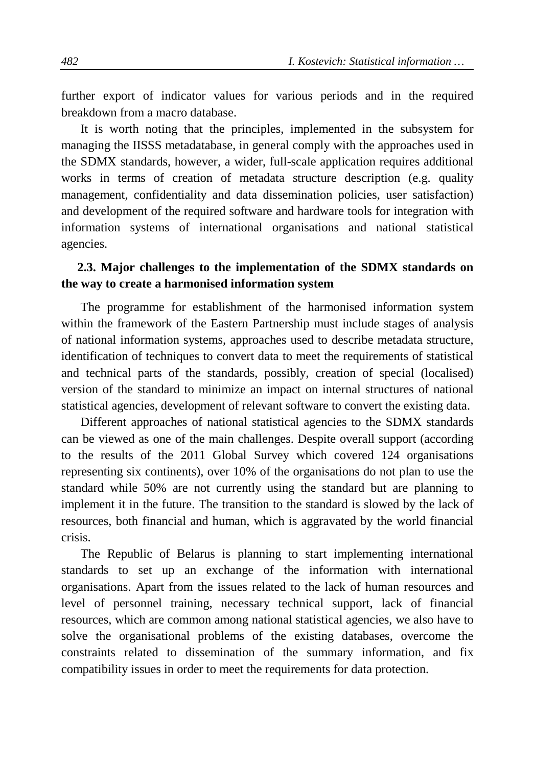further export of indicator values for various periods and in the required breakdown from a macro database.

It is worth noting that the principles, implemented in the subsystem for managing the IISSS metadatabase, in general comply with the approaches used in the SDMX standards, however, a wider, full-scale application requires additional works in terms of creation of metadata structure description (e.g. quality management, confidentiality and data dissemination policies, user satisfaction) and development of the required software and hardware tools for integration with information systems of international organisations and national statistical agencies.

## **2.3. Major challenges to the implementation of the SDMX standards on the way to create a harmonised information system**

The programme for establishment of the harmonised information system within the framework of the Eastern Partnership must include stages of analysis of national information systems, approaches used to describe metadata structure, identification of techniques to convert data to meet the requirements of statistical and technical parts of the standards, possibly, creation of special (localised) version of the standard to minimize an impact on internal structures of national statistical agencies, development of relevant software to convert the existing data.

Different approaches of national statistical agencies to the SDMX standards can be viewed as one of the main challenges. Despite overall support (according to the results of the 2011 Global Survey which covered 124 organisations representing six continents), over 10% of the organisations do not plan to use the standard while 50% are not currently using the standard but are planning to implement it in the future. The transition to the standard is slowed by the lack of resources, both financial and human, which is aggravated by the world financial crisis.

The Republic of Belarus is planning to start implementing international standards to set up an exchange of the information with international organisations. Apart from the issues related to the lack of human resources and level of personnel training, necessary technical support, lack of financial resources, which are common among national statistical agencies, we also have to solve the organisational problems of the existing databases, overcome the constraints related to dissemination of the summary information, and fix compatibility issues in order to meet the requirements for data protection.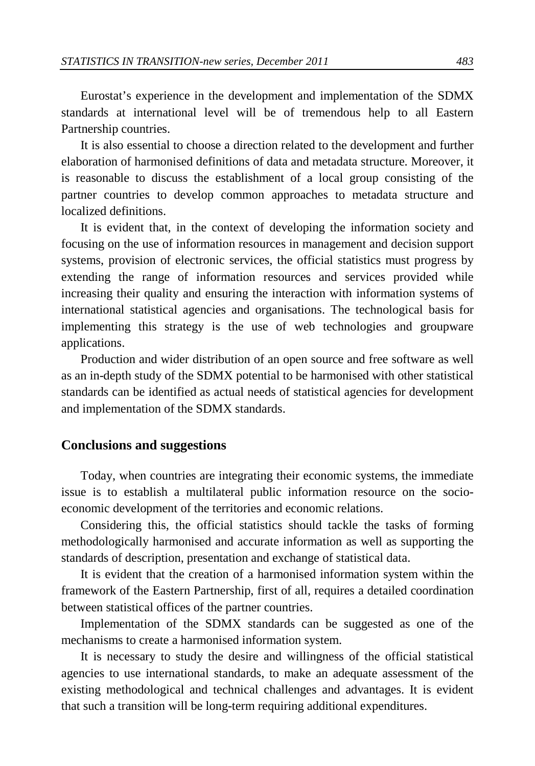Eurostat's experience in the development and implementation of the SDMX standards at international level will be of tremendous help to all Eastern Partnership countries.

It is also essential to choose a direction related to the development and further elaboration of harmonised definitions of data and metadata structure. Moreover, it is reasonable to discuss the establishment of a local group consisting of the partner countries to develop common approaches to metadata structure and localized definitions.

It is evident that, in the context of developing the information society and focusing on the use of information resources in management and decision support systems, provision of electronic services, the official statistics must progress by extending the range of information resources and services provided while increasing their quality and ensuring the interaction with information systems of international statistical agencies and organisations. The technological basis for implementing this strategy is the use of web technologies and groupware applications.

Production and wider distribution of an open source and free software as well as an in-depth study of the SDMX potential to be harmonised with other statistical standards can be identified as actual needs of statistical agencies for development and implementation of the SDMX standards.

### **Conclusions and suggestions**

Today, when countries are integrating their economic systems, the immediate issue is to establish a multilateral public information resource on the socioeconomic development of the territories and economic relations.

Considering this, the official statistics should tackle the tasks of forming methodologically harmonised and accurate information as well as supporting the standards of description, presentation and exchange of statistical data.

It is evident that the creation of a harmonised information system within the framework of the Eastern Partnership, first of all, requires a detailed coordination between statistical offices of the partner countries.

Implementation of the SDMX standards can be suggested as one of the mechanisms to create a harmonised information system.

It is necessary to study the desire and willingness of the official statistical agencies to use international standards, to make an adequate assessment of the existing methodological and technical challenges and advantages. It is evident that such a transition will be long-term requiring additional expenditures.